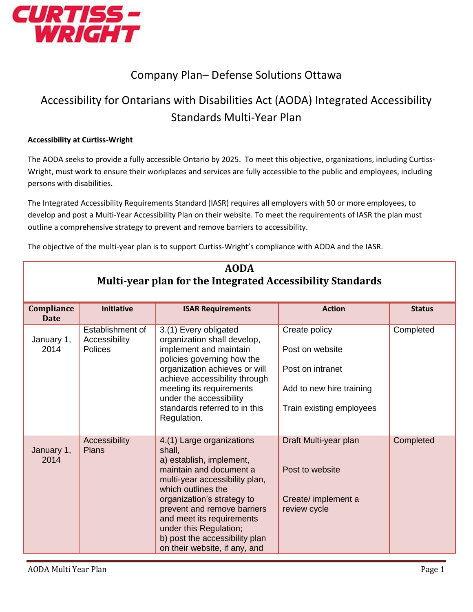

## Company Plan– Defense Solutions Ottawa

## Accessibility for Ontarians with Disabilities Act (AODA) Integrated Accessibility Standards Multi-Year Plan

## **Accessibility at Curtiss-Wright**

The AODA seeks to provide a fully accessible Ontario by 2025. To meet this objective, organizations, including Curtiss-Wright, must work to ensure their workplaces and services are fully accessible to the public and employees, including persons with disabilities.

The Integrated Accessibility Requirements Standard (IASR) requires all employers with 50 or more employees, to develop and post a Multi-Year Accessibility Plan on their website. To meet the requirements of IASR the plan must outline a comprehensive strategy to prevent and remove barriers to accessibility.

The objective of the multi-year plan is to support Curtiss-Wright's compliance with AODA and the IASR.

| <b>AODA</b><br>Multi-year plan for the Integrated Accessibility Standards |                                                     |                                                                                                                                                                                                                                                                                                                                           |                                                                                                              |               |  |
|---------------------------------------------------------------------------|-----------------------------------------------------|-------------------------------------------------------------------------------------------------------------------------------------------------------------------------------------------------------------------------------------------------------------------------------------------------------------------------------------------|--------------------------------------------------------------------------------------------------------------|---------------|--|
| Compliance<br><b>Date</b>                                                 | <b>Initiative</b>                                   | <b>ISAR Requirements</b>                                                                                                                                                                                                                                                                                                                  | <b>Action</b>                                                                                                | <b>Status</b> |  |
| January 1,<br>2014                                                        | Establishment of<br>Accessibility<br><b>Polices</b> | 3.(1) Every obligated<br>organization shall develop,<br>implement and maintain<br>policies governing how the<br>organization achieves or will<br>achieve accessibility through<br>meeting its requirements<br>under the accessibility<br>standards referred to in this<br>Regulation.                                                     | Create policy<br>Post on website<br>Post on intranet<br>Add to new hire training<br>Train existing employees | Completed     |  |
| January 1,<br>2014                                                        | Accessibility<br>Plans                              | 4.(1) Large organizations<br>shall,<br>a) establish, implement,<br>maintain and document a<br>multi-year accessibility plan,<br>which outlines the<br>organization's strategy to<br>prevent and remove barriers<br>and meet its requirements<br>under this Regulation;<br>b) post the accessibility plan<br>on their website, if any, and | Draft Multi-year plan<br>Post to website<br>Create/ implement a<br>review cycle                              | Completed     |  |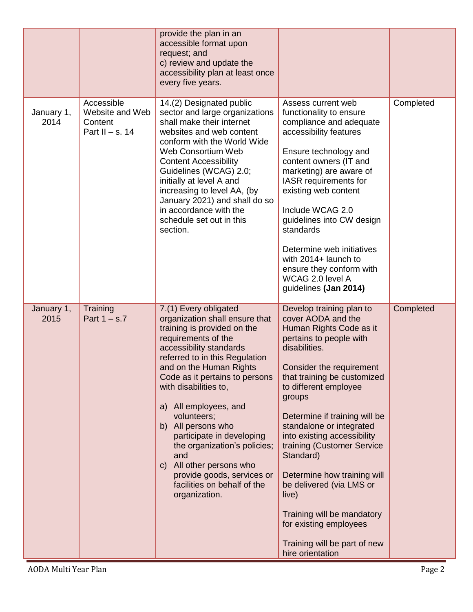|                    |                                                               | provide the plan in an<br>accessible format upon<br>request; and<br>c) review and update the<br>accessibility plan at least once<br>every five years.                                                                                                                                                                                                                                                                                                                                                                     |                                                                                                                                                                                                                                                                                                                                                                                                                                                                                                                                            |           |
|--------------------|---------------------------------------------------------------|---------------------------------------------------------------------------------------------------------------------------------------------------------------------------------------------------------------------------------------------------------------------------------------------------------------------------------------------------------------------------------------------------------------------------------------------------------------------------------------------------------------------------|--------------------------------------------------------------------------------------------------------------------------------------------------------------------------------------------------------------------------------------------------------------------------------------------------------------------------------------------------------------------------------------------------------------------------------------------------------------------------------------------------------------------------------------------|-----------|
| January 1,<br>2014 | Accessible<br>Website and Web<br>Content<br>Part II - s. $14$ | 14.(2) Designated public<br>sector and large organizations<br>shall make their internet<br>websites and web content<br>conform with the World Wide<br>Web Consortium Web<br><b>Content Accessibility</b><br>Guidelines (WCAG) 2.0;<br>initially at level A and<br>increasing to level AA, (by<br>January 2021) and shall do so<br>in accordance with the<br>schedule set out in this<br>section.                                                                                                                          | Assess current web<br>functionality to ensure<br>compliance and adequate<br>accessibility features<br>Ensure technology and<br>content owners (IT and<br>marketing) are aware of<br>IASR requirements for<br>existing web content<br>Include WCAG 2.0<br>guidelines into CW design<br>standards<br>Determine web initiatives<br>with 2014+ launch to<br>ensure they conform with<br>WCAG 2.0 level A<br>guidelines (Jan 2014)                                                                                                              | Completed |
| January 1,<br>2015 | Training<br>Part $1 - s.7$                                    | 7.(1) Every obligated<br>organization shall ensure that<br>training is provided on the<br>requirements of the<br>accessibility standards<br>referred to in this Regulation<br>and on the Human Rights<br>Code as it pertains to persons<br>with disabilities to,<br>a) All employees, and<br>volunteers;<br>b) All persons who<br>participate in developing<br>the organization's policies;<br>and<br>All other persons who<br>$\mathsf{C}$<br>provide goods, services or<br>facilities on behalf of the<br>organization. | Develop training plan to<br>cover AODA and the<br>Human Rights Code as it<br>pertains to people with<br>disabilities.<br>Consider the requirement<br>that training be customized<br>to different employee<br>groups<br>Determine if training will be<br>standalone or integrated<br>into existing accessibility<br>training (Customer Service<br>Standard)<br>Determine how training will<br>be delivered (via LMS or<br>live)<br>Training will be mandatory<br>for existing employees<br>Training will be part of new<br>hire orientation | Completed |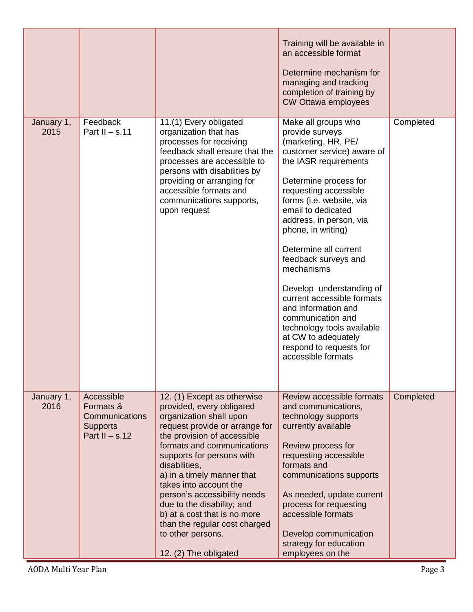|                    |                                                                                  |                                                                                                                                                                                                                                                                                                                                                                                                                                                                       | Training will be available in<br>an accessible format<br>Determine mechanism for<br>managing and tracking<br>completion of training by<br><b>CW Ottawa employees</b>                                                                                                                                                                                                                                                                                                                                                                                 |           |
|--------------------|----------------------------------------------------------------------------------|-----------------------------------------------------------------------------------------------------------------------------------------------------------------------------------------------------------------------------------------------------------------------------------------------------------------------------------------------------------------------------------------------------------------------------------------------------------------------|------------------------------------------------------------------------------------------------------------------------------------------------------------------------------------------------------------------------------------------------------------------------------------------------------------------------------------------------------------------------------------------------------------------------------------------------------------------------------------------------------------------------------------------------------|-----------|
| January 1,<br>2015 | Feedback<br>Part II $-$ s.11                                                     | 11.(1) Every obligated<br>organization that has<br>processes for receiving<br>feedback shall ensure that the<br>processes are accessible to<br>persons with disabilities by<br>providing or arranging for<br>accessible formats and<br>communications supports,<br>upon request                                                                                                                                                                                       | Make all groups who<br>provide surveys<br>(marketing, HR, PE/<br>customer service) aware of<br>the IASR requirements<br>Determine process for<br>requesting accessible<br>forms (i.e. website, via<br>email to dedicated<br>address, in person, via<br>phone, in writing)<br>Determine all current<br>feedback surveys and<br>mechanisms<br>Develop understanding of<br>current accessible formats<br>and information and<br>communication and<br>technology tools available<br>at CW to adequately<br>respond to requests for<br>accessible formats | Completed |
| January 1,<br>2016 | Accessible<br>Formats &<br>Communications<br><b>Supports</b><br>Part II $-$ s.12 | 12. (1) Except as otherwise<br>provided, every obligated<br>organization shall upon<br>request provide or arrange for<br>the provision of accessible<br>formats and communications<br>supports for persons with<br>disabilities,<br>a) in a timely manner that<br>takes into account the<br>person's accessibility needs<br>due to the disability; and<br>b) at a cost that is no more<br>than the regular cost charged<br>to other persons.<br>12. (2) The obligated | Review accessible formats<br>and communications,<br>technology supports<br>currently available<br>Review process for<br>requesting accessible<br>formats and<br>communications supports<br>As needed, update current<br>process for requesting<br>accessible formats<br>Develop communication<br>strategy for education<br>employees on the                                                                                                                                                                                                          | Completed |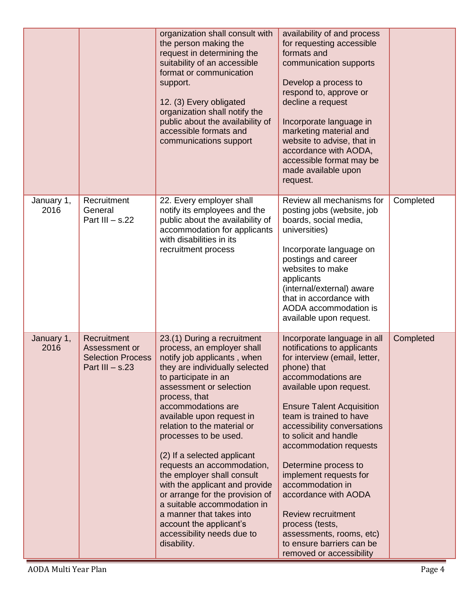|                    |                                                                               | organization shall consult with<br>the person making the<br>request in determining the<br>suitability of an accessible<br>format or communication<br>support.<br>12. (3) Every obligated<br>organization shall notify the<br>public about the availability of<br>accessible formats and<br>communications support                                                                                                                                                                                                                                                                                            | availability of and process<br>for requesting accessible<br>formats and<br>communication supports<br>Develop a process to<br>respond to, approve or<br>decline a request<br>Incorporate language in<br>marketing material and<br>website to advise, that in<br>accordance with AODA,<br>accessible format may be<br>made available upon<br>request.                                                                                                                                                                                             |           |
|--------------------|-------------------------------------------------------------------------------|--------------------------------------------------------------------------------------------------------------------------------------------------------------------------------------------------------------------------------------------------------------------------------------------------------------------------------------------------------------------------------------------------------------------------------------------------------------------------------------------------------------------------------------------------------------------------------------------------------------|-------------------------------------------------------------------------------------------------------------------------------------------------------------------------------------------------------------------------------------------------------------------------------------------------------------------------------------------------------------------------------------------------------------------------------------------------------------------------------------------------------------------------------------------------|-----------|
| January 1,<br>2016 | Recruitment<br>General<br>Part III $-$ s.22                                   | 22. Every employer shall<br>notify its employees and the<br>public about the availability of<br>accommodation for applicants<br>with disabilities in its<br>recruitment process                                                                                                                                                                                                                                                                                                                                                                                                                              | Review all mechanisms for<br>posting jobs (website, job<br>boards, social media,<br>universities)<br>Incorporate language on<br>postings and career<br>websites to make<br>applicants<br>(internal/external) aware<br>that in accordance with<br>AODA accommodation is<br>available upon request.                                                                                                                                                                                                                                               | Completed |
| January 1,<br>2016 | Recruitment<br>Assessment or<br><b>Selection Process</b><br>Part III $-$ s.23 | 23.(1) During a recruitment<br>process, an employer shall<br>notify job applicants, when<br>they are individually selected<br>to participate in an<br>assessment or selection<br>process, that<br>accommodations are<br>available upon request in<br>relation to the material or<br>processes to be used.<br>(2) If a selected applicant<br>requests an accommodation,<br>the employer shall consult<br>with the applicant and provide<br>or arrange for the provision of<br>a suitable accommodation in<br>a manner that takes into<br>account the applicant's<br>accessibility needs due to<br>disability. | Incorporate language in all<br>notifications to applicants<br>for interview (email, letter,<br>phone) that<br>accommodations are<br>available upon request.<br><b>Ensure Talent Acquisition</b><br>team is trained to have<br>accessibility conversations<br>to solicit and handle<br>accommodation requests<br>Determine process to<br>implement requests for<br>accommodation in<br>accordance with AODA<br><b>Review recruitment</b><br>process (tests,<br>assessments, rooms, etc)<br>to ensure barriers can be<br>removed or accessibility | Completed |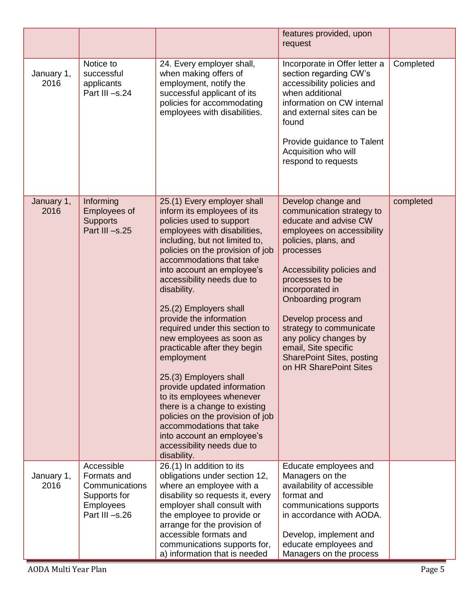|                    |                                                                                                   |                                                                                                                                                                                                                                                                                                                                                                                                                                                                                                                                                                                                                                                                                                                                        | features provided, upon<br>request                                                                                                                                                                                                                                                                                                                                                                     |           |
|--------------------|---------------------------------------------------------------------------------------------------|----------------------------------------------------------------------------------------------------------------------------------------------------------------------------------------------------------------------------------------------------------------------------------------------------------------------------------------------------------------------------------------------------------------------------------------------------------------------------------------------------------------------------------------------------------------------------------------------------------------------------------------------------------------------------------------------------------------------------------------|--------------------------------------------------------------------------------------------------------------------------------------------------------------------------------------------------------------------------------------------------------------------------------------------------------------------------------------------------------------------------------------------------------|-----------|
| January 1,<br>2016 | Notice to<br>successful<br>applicants<br>Part III -s.24                                           | 24. Every employer shall,<br>when making offers of<br>employment, notify the<br>successful applicant of its<br>policies for accommodating<br>employees with disabilities.                                                                                                                                                                                                                                                                                                                                                                                                                                                                                                                                                              | Incorporate in Offer letter a<br>section regarding CW's<br>accessibility policies and<br>when additional<br>information on CW internal<br>and external sites can be<br>found<br>Provide guidance to Talent<br>Acquisition who will<br>respond to requests                                                                                                                                              | Completed |
| January 1,<br>2016 | Informing<br>Employees of<br><b>Supports</b><br>Part III-s.25                                     | 25.(1) Every employer shall<br>inform its employees of its<br>policies used to support<br>employees with disabilities,<br>including, but not limited to,<br>policies on the provision of job<br>accommodations that take<br>into account an employee's<br>accessibility needs due to<br>disability.<br>25.(2) Employers shall<br>provide the information<br>required under this section to<br>new employees as soon as<br>practicable after they begin<br>employment<br>25.(3) Employers shall<br>provide updated information<br>to its employees whenever<br>there is a change to existing<br>policies on the provision of job<br>accommodations that take<br>into account an employee's<br>accessibility needs due to<br>disability. | Develop change and<br>communication strategy to<br>educate and advise CW<br>employees on accessibility<br>policies, plans, and<br>processes<br>Accessibility policies and<br>processes to be<br>incorporated in<br>Onboarding program<br>Develop process and<br>strategy to communicate<br>any policy changes by<br>email, Site specific<br><b>SharePoint Sites, posting</b><br>on HR SharePoint Sites | completed |
| January 1,<br>2016 | Accessible<br>Formats and<br>Communications<br>Supports for<br><b>Employees</b><br>Part III -s.26 | 26.(1) In addition to its<br>obligations under section 12,<br>where an employee with a<br>disability so requests it, every<br>employer shall consult with<br>the employee to provide or<br>arrange for the provision of<br>accessible formats and<br>communications supports for,<br>a) information that is needed                                                                                                                                                                                                                                                                                                                                                                                                                     | Educate employees and<br>Managers on the<br>availability of accessible<br>format and<br>communications supports<br>in accordance with AODA.<br>Develop, implement and<br>educate employees and<br>Managers on the process                                                                                                                                                                              |           |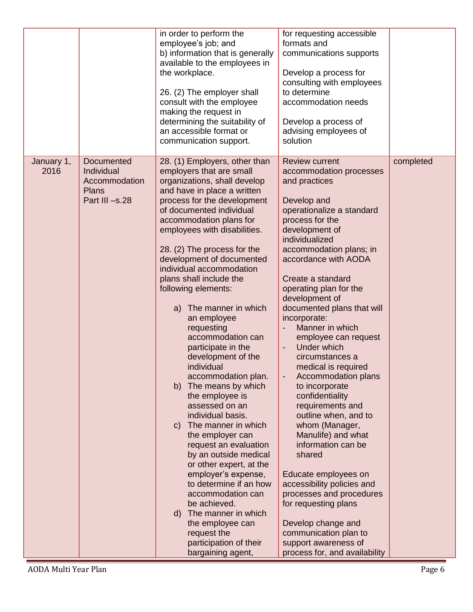|                    |                                                                             | in order to perform the<br>employee's job; and<br>b) information that is generally<br>available to the employees in<br>the workplace.<br>26. (2) The employer shall<br>consult with the employee<br>making the request in<br>determining the suitability of<br>an accessible format or<br>communication support.                                                                                                                                                                                                                                                                                                                                                                                                                                                                                                                                                                                                                                                            | for requesting accessible<br>formats and<br>communications supports<br>Develop a process for<br>consulting with employees<br>to determine<br>accommodation needs<br>Develop a process of<br>advising employees of<br>solution                                                                                                                                                                                                                                                                                                                                                                                                                                                                                                                                                                                                                |           |
|--------------------|-----------------------------------------------------------------------------|-----------------------------------------------------------------------------------------------------------------------------------------------------------------------------------------------------------------------------------------------------------------------------------------------------------------------------------------------------------------------------------------------------------------------------------------------------------------------------------------------------------------------------------------------------------------------------------------------------------------------------------------------------------------------------------------------------------------------------------------------------------------------------------------------------------------------------------------------------------------------------------------------------------------------------------------------------------------------------|----------------------------------------------------------------------------------------------------------------------------------------------------------------------------------------------------------------------------------------------------------------------------------------------------------------------------------------------------------------------------------------------------------------------------------------------------------------------------------------------------------------------------------------------------------------------------------------------------------------------------------------------------------------------------------------------------------------------------------------------------------------------------------------------------------------------------------------------|-----------|
| January 1,<br>2016 | Documented<br>Individual<br>Accommodation<br><b>Plans</b><br>Part III -s.28 | 28. (1) Employers, other than<br>employers that are small<br>organizations, shall develop<br>and have in place a written<br>process for the development<br>of documented individual<br>accommodation plans for<br>employees with disabilities.<br>28. (2) The process for the<br>development of documented<br>individual accommodation<br>plans shall include the<br>following elements:<br>The manner in which<br>a)<br>an employee<br>requesting<br>accommodation can<br>participate in the<br>development of the<br>individual<br>accommodation plan.<br>The means by which<br>b)<br>the employee is<br>assessed on an<br>individual basis.<br>c) The manner in which<br>the employer can<br>request an evaluation<br>by an outside medical<br>or other expert, at the<br>employer's expense,<br>to determine if an how<br>accommodation can<br>be achieved.<br>d) The manner in which<br>the employee can<br>request the<br>participation of their<br>bargaining agent, | <b>Review current</b><br>accommodation processes<br>and practices<br>Develop and<br>operationalize a standard<br>process for the<br>development of<br>individualized<br>accommodation plans; in<br>accordance with AODA<br>Create a standard<br>operating plan for the<br>development of<br>documented plans that will<br>incorporate:<br>Manner in which<br>employee can request<br>Under which<br>circumstances a<br>medical is required<br>Accommodation plans<br>to incorporate<br>confidentiality<br>requirements and<br>outline when, and to<br>whom (Manager,<br>Manulife) and what<br>information can be<br>shared<br>Educate employees on<br>accessibility policies and<br>processes and procedures<br>for requesting plans<br>Develop change and<br>communication plan to<br>support awareness of<br>process for, and availability | completed |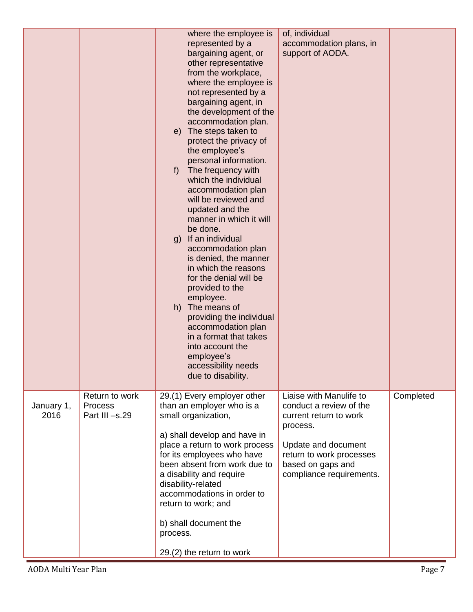|                    |                                             | where the employee is<br>represented by a<br>bargaining agent, or<br>other representative<br>from the workplace,<br>where the employee is<br>not represented by a<br>bargaining agent, in<br>the development of the<br>accommodation plan.<br>e) The steps taken to<br>protect the privacy of<br>the employee's<br>personal information.<br>The frequency with<br>f<br>which the individual<br>accommodation plan<br>will be reviewed and<br>updated and the<br>manner in which it will<br>be done.<br>If an individual<br>g)<br>accommodation plan<br>is denied, the manner<br>in which the reasons<br>for the denial will be<br>provided to the<br>employee.<br>The means of<br>h)<br>providing the individual<br>accommodation plan<br>in a format that takes<br>into account the<br>employee's<br>accessibility needs<br>due to disability. | of, individual<br>accommodation plans, in<br>support of AODA.                                                                                                                                |           |
|--------------------|---------------------------------------------|-------------------------------------------------------------------------------------------------------------------------------------------------------------------------------------------------------------------------------------------------------------------------------------------------------------------------------------------------------------------------------------------------------------------------------------------------------------------------------------------------------------------------------------------------------------------------------------------------------------------------------------------------------------------------------------------------------------------------------------------------------------------------------------------------------------------------------------------------|----------------------------------------------------------------------------------------------------------------------------------------------------------------------------------------------|-----------|
| January 1,<br>2016 | Return to work<br>Process<br>Part III -s.29 | 29.(1) Every employer other<br>than an employer who is a<br>small organization,<br>a) shall develop and have in<br>place a return to work process<br>for its employees who have<br>been absent from work due to<br>a disability and require<br>disability-related<br>accommodations in order to<br>return to work; and<br>b) shall document the<br>process.<br>29.(2) the return to work                                                                                                                                                                                                                                                                                                                                                                                                                                                        | Liaise with Manulife to<br>conduct a review of the<br>current return to work<br>process.<br>Update and document<br>return to work processes<br>based on gaps and<br>compliance requirements. | Completed |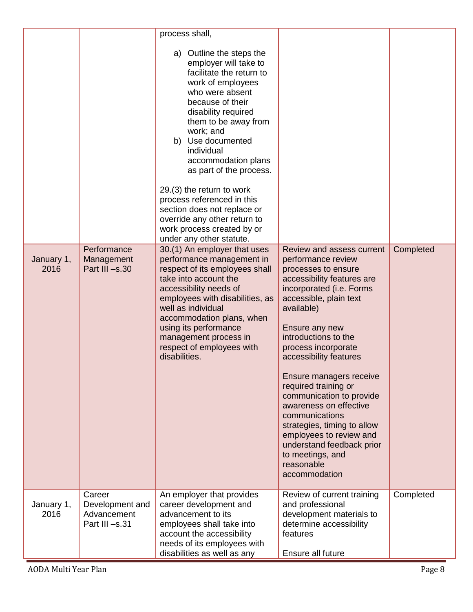|                    |                                                           | process shall,                                                                                                                                                                                                                                                                                                                                                                                                                                                                 |                                                                                                                                                                                                                                                                                                                                                                                                                                                                                                                                          |           |
|--------------------|-----------------------------------------------------------|--------------------------------------------------------------------------------------------------------------------------------------------------------------------------------------------------------------------------------------------------------------------------------------------------------------------------------------------------------------------------------------------------------------------------------------------------------------------------------|------------------------------------------------------------------------------------------------------------------------------------------------------------------------------------------------------------------------------------------------------------------------------------------------------------------------------------------------------------------------------------------------------------------------------------------------------------------------------------------------------------------------------------------|-----------|
|                    |                                                           | a) Outline the steps the<br>employer will take to<br>facilitate the return to<br>work of employees<br>who were absent<br>because of their<br>disability required<br>them to be away from<br>work; and<br>b) Use documented<br>individual<br>accommodation plans<br>as part of the process.<br>29.(3) the return to work<br>process referenced in this<br>section does not replace or<br>override any other return to<br>work process created by or<br>under any other statute. |                                                                                                                                                                                                                                                                                                                                                                                                                                                                                                                                          |           |
| January 1,<br>2016 | Performance<br>Management<br>Part III -s.30               | 30.(1) An employer that uses<br>performance management in<br>respect of its employees shall<br>take into account the<br>accessibility needs of<br>employees with disabilities, as<br>well as individual<br>accommodation plans, when<br>using its performance<br>management process in<br>respect of employees with<br>disabilities.                                                                                                                                           | Review and assess current<br>performance review<br>processes to ensure<br>accessibility features are<br>incorporated (i.e. Forms<br>accessible, plain text<br>available)<br>Ensure any new<br>introductions to the<br>process incorporate<br>accessibility features<br>Ensure managers receive<br>required training or<br>communication to provide<br>awareness on effective<br>communications<br>strategies, timing to allow<br>employees to review and<br>understand feedback prior<br>to meetings, and<br>reasonable<br>accommodation | Completed |
| January 1,<br>2016 | Career<br>Development and<br>Advancement<br>Part III-s.31 | An employer that provides<br>career development and<br>advancement to its<br>employees shall take into<br>account the accessibility<br>needs of its employees with<br>disabilities as well as any                                                                                                                                                                                                                                                                              | Review of current training<br>and professional<br>development materials to<br>determine accessibility<br>features<br>Ensure all future                                                                                                                                                                                                                                                                                                                                                                                                   | Completed |